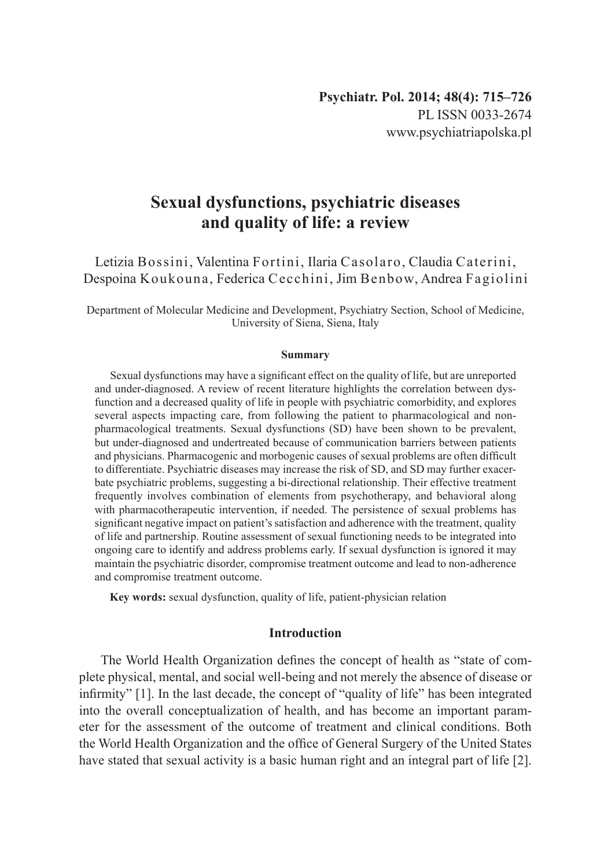# **Sexual dysfunctions, psychiatric diseases and quality of life: a review**

Letizia Bossini, Valentina Fortini, Ilaria Casolaro, Claudia Caterini, Despoina Koukouna, Federica Cecchini, Jim Benbow, Andrea Fagiolini

Department of Molecular Medicine and Development, Psychiatry Section, School of Medicine, University of Siena, Siena, Italy

#### **Summary**

Sexual dysfunctions may have a significant effect on the quality of life, but are unreported and under-diagnosed. A review of recent literature highlights the correlation between dysfunction and a decreased quality of life in people with psychiatric comorbidity, and explores several aspects impacting care, from following the patient to pharmacological and nonpharmacological treatments. Sexual dysfunctions (SD) have been shown to be prevalent, but under-diagnosed and undertreated because of communication barriers between patients and physicians. Pharmacogenic and morbogenic causes of sexual problems are often difficult to differentiate. Psychiatric diseases may increase the risk of SD, and SD may further exacerbate psychiatric problems, suggesting a bi-directional relationship. Their effective treatment frequently involves combination of elements from psychotherapy, and behavioral along with pharmacotherapeutic intervention, if needed. The persistence of sexual problems has significant negative impact on patient's satisfaction and adherence with the treatment, quality of life and partnership. Routine assessment of sexual functioning needs to be integrated into ongoing care to identify and address problems early. If sexual dysfunction is ignored it may maintain the psychiatric disorder, compromise treatment outcome and lead to non-adherence and compromise treatment outcome.

**Key words:** sexual dysfunction, quality of life, patient-physician relation

#### **Introduction**

The World Health Organization defines the concept of health as "state of complete physical, mental, and social well-being and not merely the absence of disease or infirmity" [1]. In the last decade, the concept of "quality of life" has been integrated into the overall conceptualization of health, and has become an important parameter for the assessment of the outcome of treatment and clinical conditions. Both the World Health Organization and the office of General Surgery of the United States have stated that sexual activity is a basic human right and an integral part of life [2].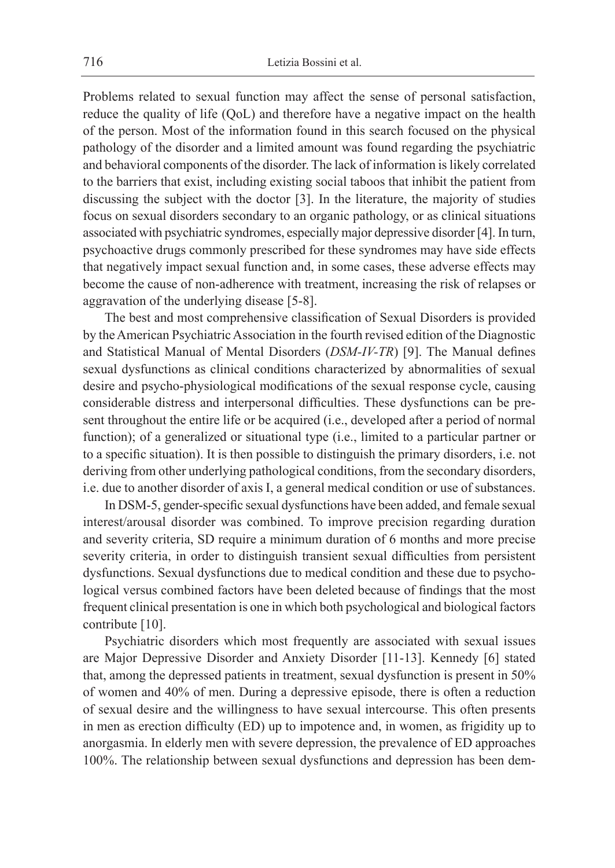Problems related to sexual function may affect the sense of personal satisfaction, reduce the quality of life (QoL) and therefore have a negative impact on the health of the person. Most of the information found in this search focused on the physical pathology of the disorder and a limited amount was found regarding the psychiatric and behavioral components of the disorder. The lack of information is likely correlated to the barriers that exist, including existing social taboos that inhibit the patient from discussing the subject with the doctor [3]. In the literature, the majority of studies focus on sexual disorders secondary to an organic pathology, or as clinical situations associated with psychiatric syndromes, especially major depressive disorder [4]. In turn, psychoactive drugs commonly prescribed for these syndromes may have side effects that negatively impact sexual function and, in some cases, these adverse effects may become the cause of non-adherence with treatment, increasing the risk of relapses or aggravation of the underlying disease [5-8].

The best and most comprehensive classification of Sexual Disorders is provided by theAmerican Psychiatric Association in the fourth revised edition of the Diagnostic and Statistical Manual of Mental Disorders (*DSM-IV-TR*) [9]. The Manual defines sexual dysfunctions as clinical conditions characterized by abnormalities of sexual desire and psycho-physiological modifications of the sexual response cycle, causing considerable distress and interpersonal difficulties. These dysfunctions can be present throughout the entire life or be acquired (i.e., developed after a period of normal function); of a generalized or situational type (i.e., limited to a particular partner or to a specific situation). It is then possible to distinguish the primary disorders, i.e. not deriving from other underlying pathological conditions, from the secondary disorders, i.e. due to another disorder of axis I, a general medical condition or use of substances.

In DSM-5, gender-specific sexual dysfunctions have been added, and female sexual interest/arousal disorder was combined. To improve precision regarding duration and severity criteria, SD require a minimum duration of 6 months and more precise severity criteria, in order to distinguish transient sexual difficulties from persistent dysfunctions. Sexual dysfunctions due to medical condition and these due to psychological versus combined factors have been deleted because of findings that the most frequent clinical presentation is one in which both psychological and biological factors contribute [10].

Psychiatric disorders which most frequently are associated with sexual issues are Major Depressive Disorder and Anxiety Disorder [11-13]. Kennedy [6] stated that, among the depressed patients in treatment, sexual dysfunction is present in 50% of women and 40% of men. During a depressive episode, there is often a reduction of sexual desire and the willingness to have sexual intercourse. This often presents in men as erection difficulty (ED) up to impotence and, in women, as frigidity up to anorgasmia. In elderly men with severe depression, the prevalence of ED approaches 100%. The relationship between sexual dysfunctions and depression has been dem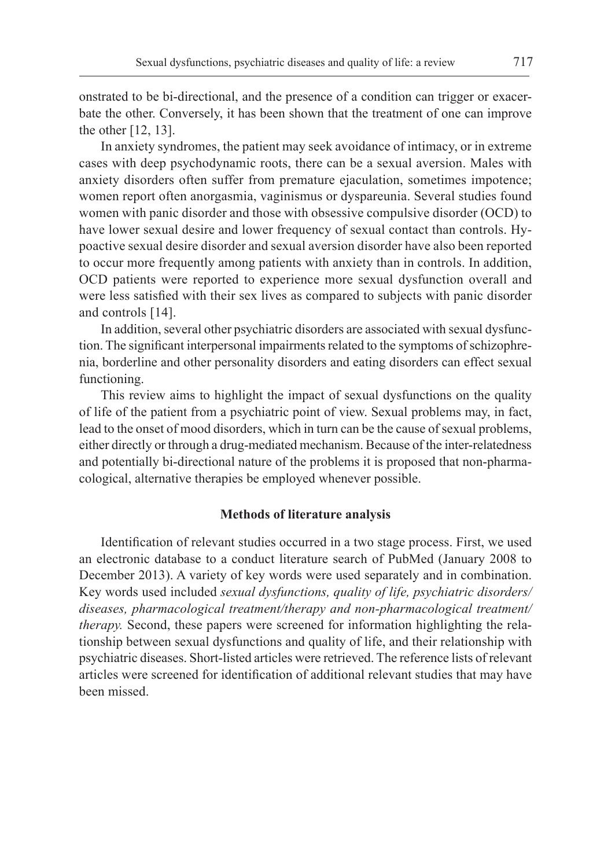onstrated to be bi-directional, and the presence of a condition can trigger or exacerbate the other. Conversely, it has been shown that the treatment of one can improve the other [12, 13].

In anxiety syndromes, the patient may seek avoidance of intimacy, or in extreme cases with deep psychodynamic roots, there can be a sexual aversion. Males with anxiety disorders often suffer from premature ejaculation, sometimes impotence; women report often anorgasmia, vaginismus or dyspareunia. Several studies found women with panic disorder and those with obsessive compulsive disorder (OCD) to have lower sexual desire and lower frequency of sexual contact than controls. Hypoactive sexual desire disorder and sexual aversion disorder have also been reported to occur more frequently among patients with anxiety than in controls. In addition, OCD patients were reported to experience more sexual dysfunction overall and were less satisfied with their sex lives as compared to subjects with panic disorder and controls [14].

In addition, several other psychiatric disorders are associated with sexual dysfunction. The significant interpersonal impairments related to the symptoms of schizophrenia, borderline and other personality disorders and eating disorders can effect sexual functioning.

This review aims to highlight the impact of sexual dysfunctions on the quality of life of the patient from a psychiatric point of view. Sexual problems may, in fact, lead to the onset of mood disorders, which in turn can be the cause of sexual problems, either directly or through a drug-mediated mechanism. Because of the inter-relatedness and potentially bi-directional nature of the problems it is proposed that non-pharmacological, alternative therapies be employed whenever possible.

### **Methods of literature analysis**

Identification of relevant studies occurred in a two stage process. First, we used an electronic database to a conduct literature search of PubMed (January 2008 to December 2013). A variety of key words were used separately and in combination. Key words used included *sexual dysfunctions, quality of life, psychiatric disorders/ diseases, pharmacological treatment/therapy and non-pharmacological treatment/ therapy.* Second, these papers were screened for information highlighting the relationship between sexual dysfunctions and quality of life, and their relationship with psychiatric diseases. Short-listed articles were retrieved. The reference lists of relevant articles were screened for identification of additional relevant studies that may have been missed.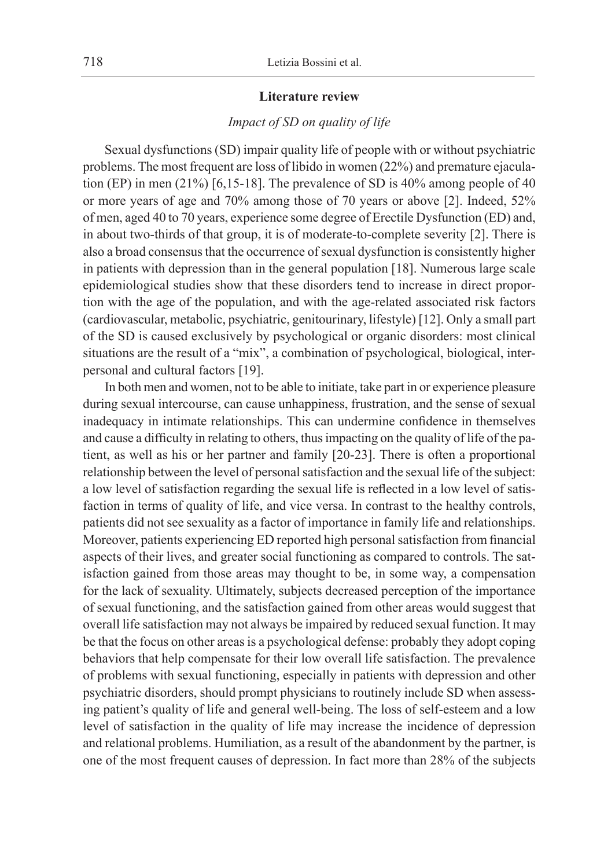#### **Literature review**

## *Impact of SD on quality of life*

Sexual dysfunctions (SD) impair quality life of people with or without psychiatric problems. The most frequent are loss of libido in women (22%) and premature ejaculation (EP) in men (21%) [6,15-18]. The prevalence of SD is 40% among people of 40 or more years of age and 70% among those of 70 years or above [2]. Indeed, 52% of men, aged 40 to 70 years, experience some degree of Erectile Dysfunction (ED) and, in about two-thirds of that group, it is of moderate-to-complete severity [2]. There is also a broad consensus that the occurrence ofsexual dysfunction is consistently higher in patients with depression than in the general population [18]. Numerous large scale epidemiological studies show that these disorders tend to increase in direct proportion with the age of the population, and with the age-related associated risk factors (cardiovascular, metabolic, psychiatric, genitourinary, lifestyle) [12]. Only a small part of the SD is caused exclusively by psychological or organic disorders: most clinical situations are the result of a "mix", a combination of psychological, biological, interpersonal and cultural factors [19].

In both men and women, not to be able to initiate, take part in or experience pleasure during sexual intercourse, can cause unhappiness, frustration, and the sense of sexual inadequacy in intimate relationships. This can undermine confidence in themselves and cause a difficulty in relating to others, thus impacting on the quality of life of the patient, as well as his or her partner and family [20-23]. There is often a proportional relationship between the level of personal satisfaction and the sexual life of the subject: a low level of satisfaction regarding the sexual life is reflected in a low level of satisfaction in terms of quality of life, and vice versa. In contrast to the healthy controls, patients did not see sexuality as a factor of importance in family life and relationships. Moreover, patients experiencing ED reported high personal satisfaction from financial aspects of their lives, and greater social functioning as compared to controls. The satisfaction gained from those areas may thought to be, in some way, a compensation for the lack of sexuality. Ultimately, subjects decreased perception of the importance of sexual functioning, and the satisfaction gained from other areas would suggest that overall life satisfaction may not always be impaired by reduced sexual function. It may be that the focus on other areas is a psychological defense: probably they adopt coping behaviors that help compensate for their low overall life satisfaction. The prevalence of problems with sexual functioning, especially in patients with depression and other psychiatric disorders, should prompt physicians to routinely include SD when assessing patient's quality of life and general well-being. The loss of self-esteem and a low level of satisfaction in the quality of life may increase the incidence of depression and relational problems. Humiliation, as a result of the abandonment by the partner, is one of the most frequent causes of depression. In fact more than 28% of the subjects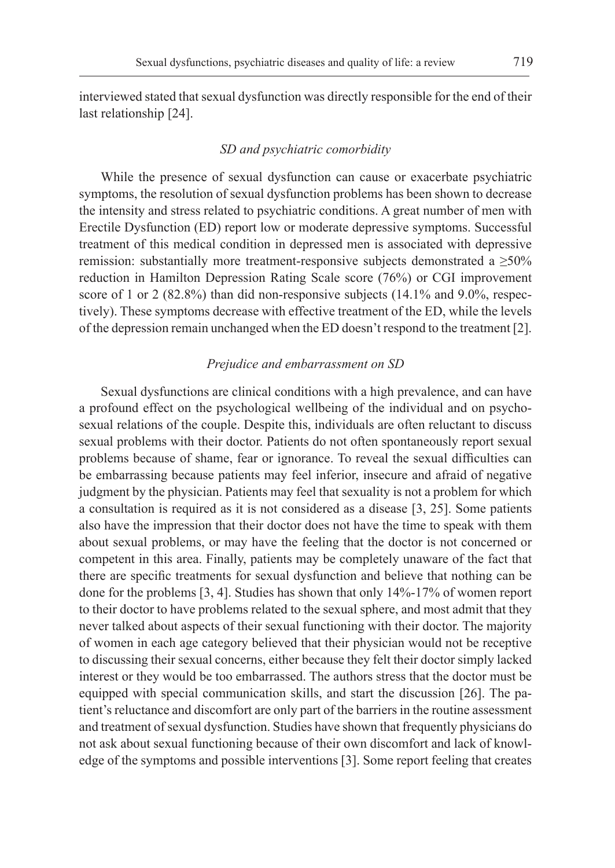interviewed stated that sexual dysfunction was directly responsible for the end of their last relationship [24].

## *SD and psychiatric comorbidity*

While the presence of sexual dysfunction can cause or exacerbate psychiatric symptoms, the resolution of sexual dysfunction problems has been shown to decrease the intensity and stress related to psychiatric conditions. A great number of men with Erectile Dysfunction (ED) report low or moderate depressive symptoms. Successful treatment of this medical condition in depressed men is associated with depressive remission: substantially more treatment-responsive subjects demonstrated a  $\geq 50\%$ reduction in Hamilton Depression Rating Scale score (76%) or CGI improvement score of 1 or 2 (82.8%) than did non-responsive subjects (14.1% and 9.0%, respectively). These symptoms decrease with effective treatment of the ED, while the levels of the depression remain unchanged when the ED doesn't respond to the treatment [2].

#### *Prejudice and embarrassment on SD*

Sexual dysfunctions are clinical conditions with a high prevalence, and can have a profound effect on the psychological wellbeing of the individual and on psychosexual relations of the couple. Despite this, individuals are often reluctant to discuss sexual problems with their doctor. Patients do not often spontaneously report sexual problems because of shame, fear or ignorance. To reveal the sexual difficulties can be embarrassing because patients may feel inferior, insecure and afraid of negative judgment by the physician. Patients may feel that sexuality is not a problem for which a consultation is required as it is not considered as a disease [3, 25]. Some patients also have the impression that their doctor does not have the time to speak with them about sexual problems, or may have the feeling that the doctor is not concerned or competent in this area. Finally, patients may be completely unaware of the fact that there are specific treatments for sexual dysfunction and believe that nothing can be done for the problems [3, 4]. Studies has shown that only 14%-17% of women report to their doctor to have problems related to the sexual sphere, and most admit that they never talked about aspects of their sexual functioning with their doctor. The majority of women in each age category believed that their physician would not be receptive to discussing their sexual concerns, either because they felt their doctor simply lacked interest or they would be too embarrassed. The authors stress that the doctor must be equipped with special communication skills, and start the discussion [26]. The patient's reluctance and discomfort are only part of the barriers in the routine assessment and treatment of sexual dysfunction. Studies have shown that frequently physicians do not ask about sexual functioning because of their own discomfort and lack of knowledge of the symptoms and possible interventions [3]. Some report feeling that creates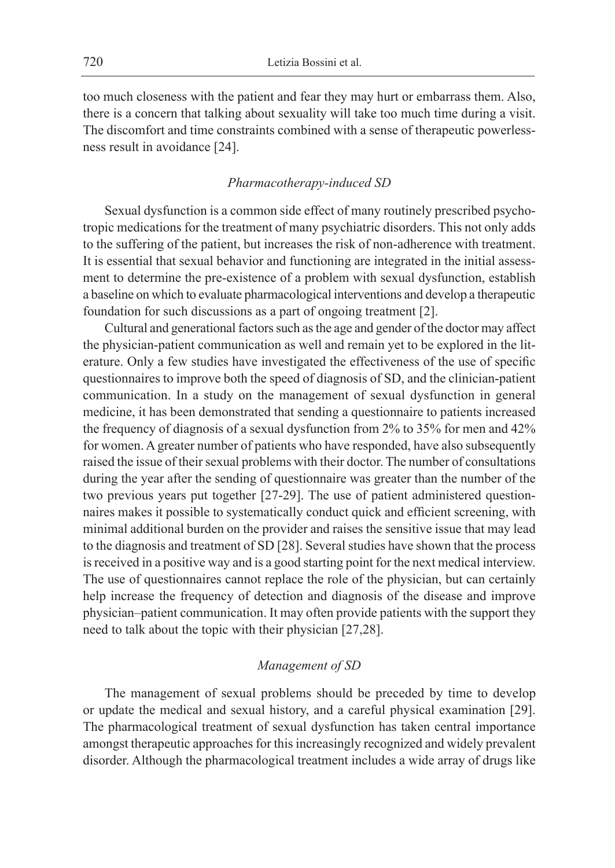too much closeness with the patient and fear they may hurt or embarrass them. Also, there is a concern that talking about sexuality will take too much time during a visit. The discomfort and time constraints combined with a sense of therapeutic powerlessness result in avoidance [24].

## *Pharmacotherapy-induced SD*

Sexual dysfunction is a common side effect of many routinely prescribed psychotropic medications for the treatment of many psychiatric disorders. This not only adds to the suffering of the patient, but increases the risk of non-adherence with treatment. It is essential that sexual behavior and functioning are integrated in the initial assessment to determine the pre-existence of a problem with sexual dysfunction, establish a baseline on which to evaluate pharmacological interventions and develop a therapeutic foundation for such discussions as a part of ongoing treatment [2].

Cultural and generational factors such as the age and gender of the doctor may affect the physician-patient communication as well and remain yet to be explored in the literature. Only a few studies have investigated the effectiveness of the use of specific questionnaires to improve both the speed of diagnosis of SD, and the clinician-patient communication. In a study on the management of sexual dysfunction in general medicine, it has been demonstrated that sending a questionnaire to patients increased the frequency of diagnosis of a sexual dysfunction from 2% to 35% for men and 42% for women. A greater number of patients who have responded, have also subsequently raised the issue of their sexual problems with their doctor. The number of consultations during the year after the sending of questionnaire was greater than the number of the two previous years put together [27-29]. The use of patient administered questionnaires makes it possible to systematically conduct quick and efficient screening, with minimal additional burden on the provider and raises the sensitive issue that may lead to the diagnosis and treatment of SD [28]. Several studies have shown that the process is received in a positive way and is a good starting point for the next medical interview. The use of questionnaires cannot replace the role of the physician, but can certainly help increase the frequency of detection and diagnosis of the disease and improve physician–patient communication. It may often provide patients with the support they need to talk about the topic with their physician [27,28].

## *Management of SD*

The management of sexual problems should be preceded by time to develop or update the medical and sexual history, and a careful physical examination [29]. The pharmacological treatment of sexual dysfunction has taken central importance amongst therapeutic approaches for this increasingly recognized and widely prevalent disorder. Although the pharmacological treatment includes a wide array of drugs like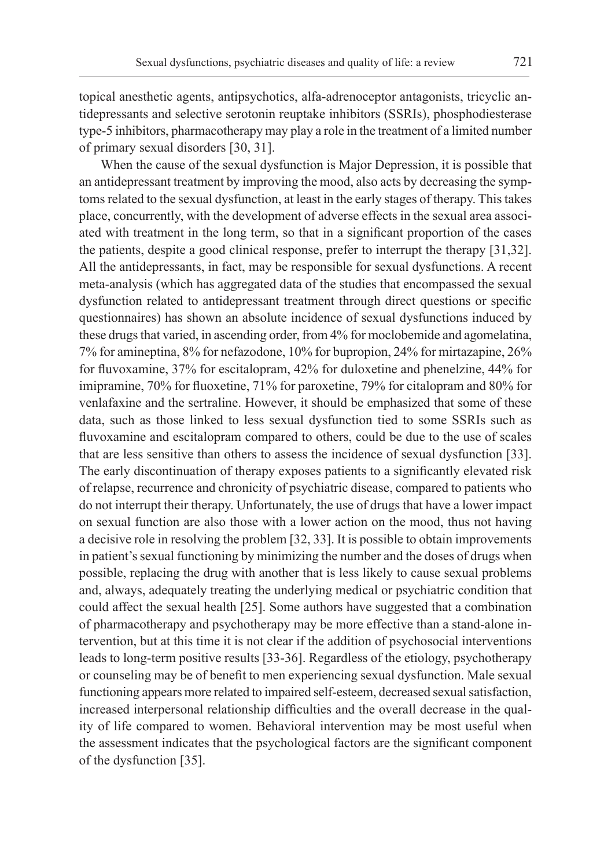topical anesthetic agents, antipsychotics, alfa-adrenoceptor antagonists, tricyclic antidepressants and selective serotonin reuptake inhibitors (SSRIs), phosphodiesterase type-5 inhibitors, pharmacotherapy may play a role in the treatment of a limited number of primary sexual disorders [30, 31].

When the cause of the sexual dysfunction is Major Depression, it is possible that an antidepressant treatment by improving the mood, also acts by decreasing the symptoms related to the sexual dysfunction, at least in the early stages of therapy. This takes place, concurrently, with the development of adverse effects in the sexual area associated with treatment in the long term, so that in a significant proportion of the cases the patients, despite a good clinical response, prefer to interrupt the therapy [31,32]. All the antidepressants, in fact, may be responsible for sexual dysfunctions. A recent meta-analysis (which has aggregated data of the studies that encompassed the sexual dysfunction related to antidepressant treatment through direct questions or specific questionnaires) has shown an absolute incidence of sexual dysfunctions induced by these drugs that varied, in ascending order, from 4% for moclobemide and agomelatina, 7% for amineptina, 8% for nefazodone, 10% for bupropion, 24% for mirtazapine, 26% for fluvoxamine, 37% for escitalopram, 42% for duloxetine and phenelzine, 44% for imipramine, 70% for fluoxetine, 71% for paroxetine, 79% for citalopram and 80% for venlafaxine and the sertraline. However, it should be emphasized that some of these data, such as those linked to less sexual dysfunction tied to some SSRIs such as fluvoxamine and escitalopram compared to others, could be due to the use of scales that are less sensitive than others to assess the incidence of sexual dysfunction [33]. The early discontinuation of therapy exposes patients to a significantly elevated risk of relapse, recurrence and chronicity of psychiatric disease, compared to patients who do not interrupt their therapy. Unfortunately, the use of drugs that have a lower impact on sexual function are also those with a lower action on the mood, thus not having a decisive role in resolving the problem [32, 33]. It is possible to obtain improvements in patient's sexual functioning by minimizing the number and the doses of drugs when possible, replacing the drug with another that is less likely to cause sexual problems and, always, adequately treating the underlying medical or psychiatric condition that could affect the sexual health [25]. Some authors have suggested that a combination of pharmacotherapy and psychotherapy may be more effective than a stand-alone intervention, but at this time it is not clear if the addition of psychosocial interventions leads to long-term positive results [33-36]. Regardless of the etiology, psychotherapy or counseling may be of benefit to men experiencing sexual dysfunction. Male sexual functioning appears more related to impaired self-esteem, decreased sexual satisfaction, increased interpersonal relationship difficulties and the overall decrease in the quality of life compared to women. Behavioral intervention may be most useful when the assessment indicates that the psychological factors are the significant component of the dysfunction [35].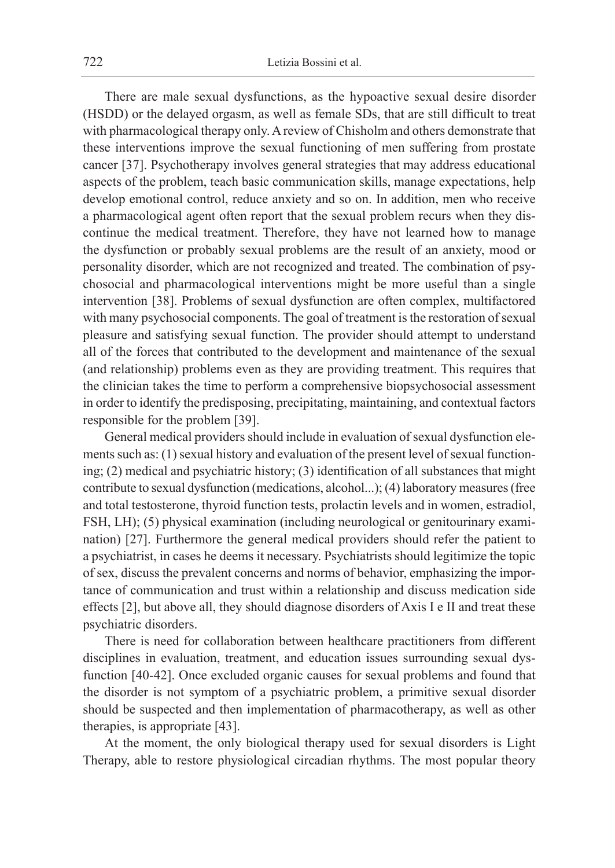There are male sexual dysfunctions, as the hypoactive sexual desire disorder (HSDD) or the delayed orgasm, as well as female SDs, that are still difficult to treat with pharmacological therapy only. A review of Chisholm and others demonstrate that these interventions improve the sexual functioning of men suffering from prostate cancer [37]. Psychotherapy involves general strategies that may address educational aspects of the problem, teach basic communication skills, manage expectations, help develop emotional control, reduce anxiety and so on. In addition, men who receive a pharmacological agent often report that the sexual problem recurs when they discontinue the medical treatment. Therefore, they have not learned how to manage the dysfunction or probably sexual problems are the result of an anxiety, mood or personality disorder, which are not recognized and treated. The combination of psychosocial and pharmacological interventions might be more useful than a single intervention [38]. Problems of sexual dysfunction are often complex, multifactored with many psychosocial components. The goal of treatment is the restoration of sexual pleasure and satisfying sexual function. The provider should attempt to understand all of the forces that contributed to the development and maintenance of the sexual (and relationship) problems even as they are providing treatment. This requires that the clinician takes the time to perform a comprehensive biopsychosocial assessment in order to identify the predisposing, precipitating, maintaining, and contextual factors responsible for the problem [39].

General medical providers should include in evaluation of sexual dysfunction elements such as:  $(1)$  sexual history and evaluation of the present level of sexual functioning; (2) medical and psychiatric history; (3) identification of all substances that might contribute to sexual dysfunction (medications, alcohol...); (4) laboratory measures (free and total testosterone, thyroid function tests, prolactin levels and in women, estradiol, FSH, LH); (5) physical examination (including neurological or genitourinary examination) [27]. Furthermore the general medical providers should refer the patient to a psychiatrist, in cases he deems it necessary. Psychiatrists should legitimize the topic of sex, discuss the prevalent concerns and norms of behavior, emphasizing the importance of communication and trust within a relationship and discuss medication side effects [2], but above all, they should diagnose disorders of Axis I e II and treat these psychiatric disorders.

There is need for collaboration between healthcare practitioners from different disciplines in evaluation, treatment, and education issues surrounding sexual dysfunction [40-42]. Once excluded organic causes for sexual problems and found that the disorder is not symptom of a psychiatric problem, a primitive sexual disorder should be suspected and then implementation of pharmacotherapy, as well as other therapies, is appropriate [43].

At the moment, the only biological therapy used for sexual disorders is Light Therapy, able to restore physiological circadian rhythms. The most popular theory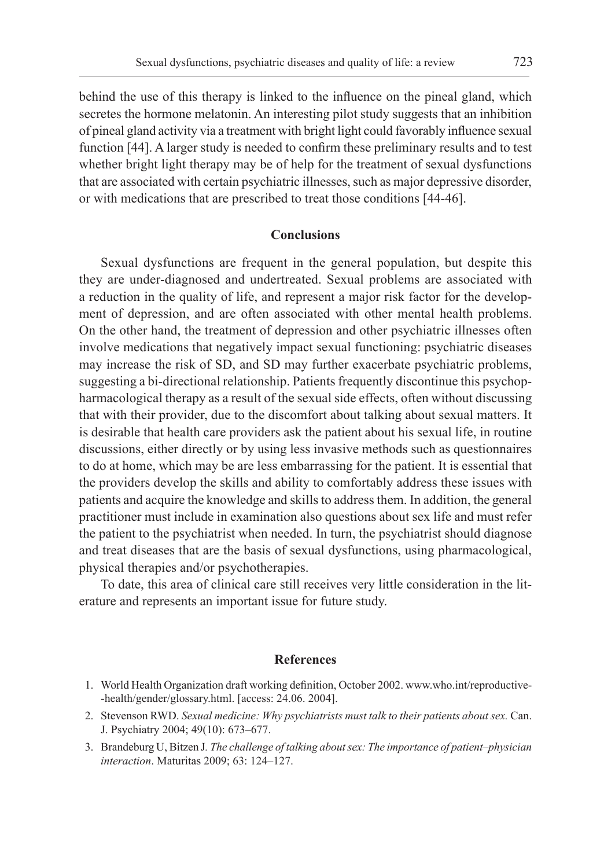behind the use of this therapy is linked to the influence on the pineal gland, which secretes the hormone melatonin. An interesting pilot study suggests that an inhibition of pineal gland activity via a treatment with bright light could favorably influence sexual function [44]. A larger study is needed to confirm these preliminary results and to test whether bright light therapy may be of help for the treatment of sexual dysfunctions that are associated with certain psychiatric illnesses, such as major depressive disorder, or with medications that are prescribed to treat those conditions [44-46].

## **Conclusions**

Sexual dysfunctions are frequent in the general population, but despite this they are under-diagnosed and undertreated. Sexual problems are associated with a reduction in the quality of life, and represent a major risk factor for the development of depression, and are often associated with other mental health problems. On the other hand, the treatment of depression and other psychiatric illnesses often involve medications that negatively impact sexual functioning: psychiatric diseases may increase the risk of SD, and SD may further exacerbate psychiatric problems, suggesting a bi-directional relationship. Patients frequently discontinue this psychopharmacological therapy as a result of the sexual side effects, often without discussing that with their provider, due to the discomfort about talking about sexual matters. It is desirable that health care providers ask the patient about his sexual life, in routine discussions, either directly or by using less invasive methods such as questionnaires to do at home, which may be are less embarrassing for the patient. It is essential that the providers develop the skills and ability to comfortably address these issues with patients and acquire the knowledge and skills to address them. In addition, the general practitioner must include in examination also questions about sex life and must refer the patient to the psychiatrist when needed. In turn, the psychiatrist should diagnose and treat diseases that are the basis of sexual dysfunctions, using pharmacological, physical therapies and/or psychotherapies.

To date, this area of clinical care still receives very little consideration in the literature and represents an important issue for future study.

#### **References**

- 1. World Health Organization draft working definition, October 2002. www.who.int/reproductive- -health/gender/glossary.html. [access: 24.06. 2004].
- 2. Stevenson RWD. *Sexual medicine: Why psychiatrists must talk to their patients about sex.* Can. J. Psychiatry 2004; 49(10): 673–677.
- 3. Brandeburg U, Bitzen J*. The challenge of talking about sex: The importance of patient–physician interaction*. Maturitas 2009; 63: 124–127.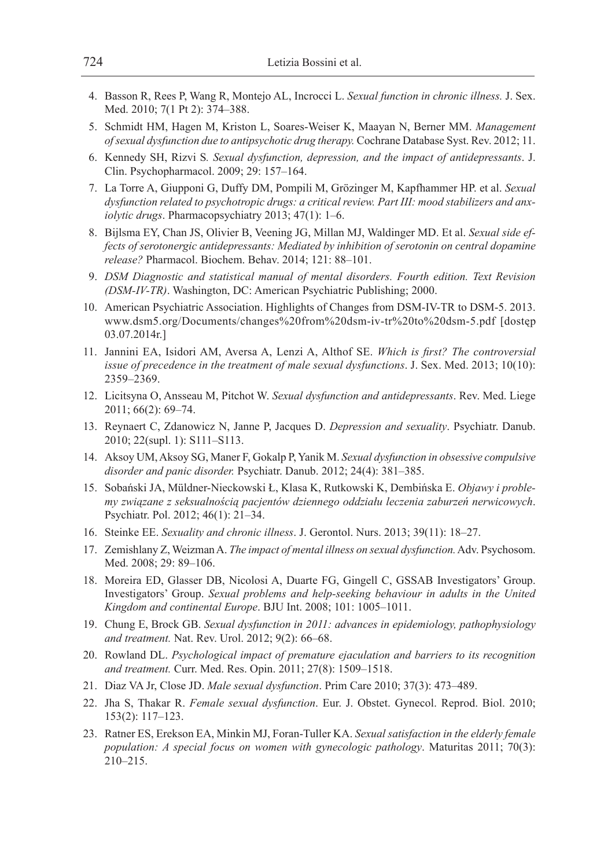- 4. Basson R, Rees P, Wang R, Montejo AL, Incrocci L. *Sexual function in chronic illness.* J. Sex. Med. 2010; 7(1 Pt 2): 374–388.
- 5. Schmidt HM, Hagen M, Kriston L, Soares-Weiser K, Maayan N, Berner MM. *Management ofsexual dysfunction due to antipsychotic drug therapy.* Cochrane Database Syst. Rev. 2012; 11.
- 6. Kennedy SH, Rizvi S*. Sexual dysfunction, depression, and the impact of antidepressants*. J. Clin. Psychopharmacol. 2009; 29: 157–164.
- 7. La Torre A, Giupponi G, Duffy DM, Pompili M, Grözinger M, Kapfhammer HP. et al. *Sexual dysfunction related to psychotropic drugs: a critical review. Part III: mood stabilizers and anxiolytic drugs*. Pharmacopsychiatry 2013; 47(1): 1–6.
- 8. Bijlsma EY, Chan JS, Olivier B, Veening JG, Millan MJ, Waldinger MD. Et al. *Sexual side effects of serotonergic antidepressants: Mediated by inhibition of serotonin on central dopamine release?* Pharmacol. Biochem. Behav. 2014; 121: 88–101.
- 9. *DSM Diagnostic and statistical manual of mental disorders. Fourth edition. Text Revision (DSM-IV-TR)*. Washington, DC: American Psychiatric Publishing; 2000.
- 10. American Psychiatric Association. Highlights of Changes from DSM-IV-TR to DSM-5. 2013. www.dsm5.org/Documents/changes%20from%20dsm-iv-tr%20to%20dsm-5.pdf [dostęp 03.07.2014r.]
- 11. Jannini EA, Isidori AM, Aversa A, Lenzi A, Althof SE. *Which is first? The controversial issue of precedence in the treatment of male sexual dysfunctions*. J. Sex. Med. 2013; 10(10): 2359–2369.
- 12. Licitsyna O, Ansseau M, Pitchot W. *Sexual dysfunction and antidepressants*. Rev. Med. Liege 2011; 66(2): 69–74.
- 13. Reynaert C, Zdanowicz N, Janne P, Jacques D. *Depression and sexuality*. Psychiatr. Danub. 2010; 22(supl. 1): S111–S113.
- 14. Aksoy UM, Aksoy SG, Maner F, Gokalp P, Yanik M. *Sexual dysfunction in obsessive compulsive disorder and panic disorder.* Psychiatr. Danub. 2012; 24(4): 381–385.
- 15. Sobański JA, Müldner-Nieckowski Ł, Klasa K, Rutkowski K, Dembińska E. *Objawy i problemy związane z seksualnością pacjentów dziennego oddziału leczenia zaburzeń nerwicowych*. Psychiatr. Pol. 2012; 46(1): 21–34.
- 16. Steinke EE. *Sexuality and chronic illness*. J. Gerontol. Nurs. 2013; 39(11): 18–27.
- 17. Zemishlany Z, Weizman A. *The impact of mental illness on sexual dysfunction.* Adv. Psychosom. Med. 2008; 29: 89–106.
- 18. Moreira ED, Glasser DB, Nicolosi A, Duarte FG, Gingell C, GSSAB Investigators' Group. Investigators' Group. *Sexual problems and help-seeking behaviour in adults in the United Kingdom and continental Europe*. BJU Int. 2008; 101: 1005–1011.
- 19. Chung E, Brock GB. *Sexual dysfunction in 2011: advances in epidemiology, pathophysiology and treatment.* Nat. Rev. Urol. 2012; 9(2): 66–68.
- 20. Rowland DL. *Psychological impact of premature ejaculation and barriers to its recognition and treatment.* Curr. Med. Res. Opin. 2011; 27(8): 1509–1518.
- 21. Diaz VA Jr, Close JD. *Male sexual dysfunction*. Prim Care 2010; 37(3): 473–489.
- 22. Jha S, Thakar R. *Female sexual dysfunction*. Eur. J. Obstet. Gynecol. Reprod. Biol. 2010; 153(2): 117–123.
- 23. Ratner ES, Erekson EA, Minkin MJ, Foran-Tuller KA. *Sexual satisfaction in the elderly female population: A special focus on women with gynecologic pathology*. Maturitas 2011; 70(3): 210–215.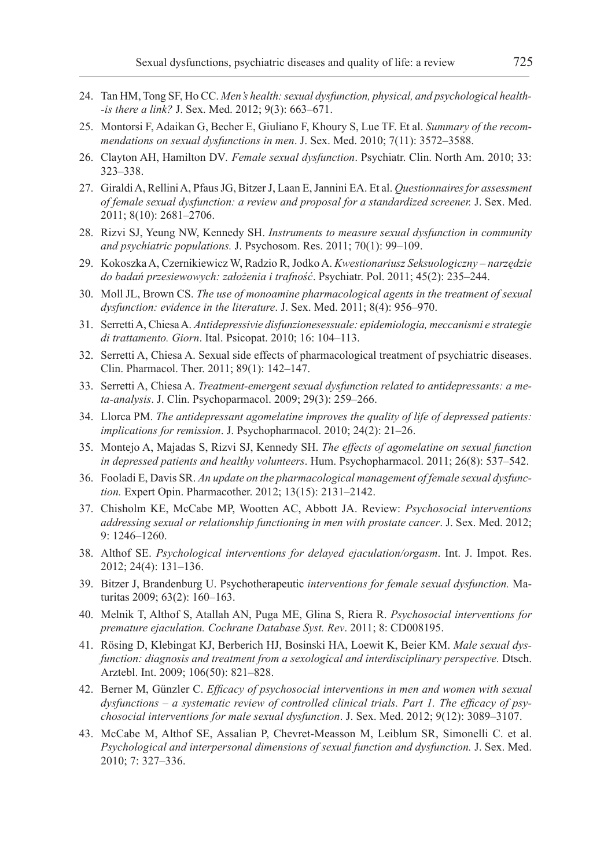- 24. Tan HM, Tong SF, Ho CC. *Men's health: sexual dysfunction, physical, and psychological health- -is there a link?* J. Sex. Med. 2012; 9(3): 663–671.
- 25. Montorsi F, Adaikan G, Becher E, Giuliano F, Khoury S, Lue TF. Et al. *Summary of the recommendations on sexual dysfunctions in men*. J. Sex. Med. 2010; 7(11): 3572–3588.
- 26. Clayton AH, Hamilton DV*. Female sexual dysfunction*. Psychiatr. Clin. North Am. 2010; 33: 323–338.
- 27. Giraldi A, Rellini A, Pfaus JG, Bitzer J, Laan E, Jannini EA. Et al. *Questionnaires for assessment of female sexual dysfunction: a review and proposal for a standardized screener.* J. Sex. Med. 2011; 8(10): 2681–2706.
- 28. Rizvi SJ, Yeung NW, Kennedy SH. *Instruments to measure sexual dysfunction in community and psychiatric populations.* J. Psychosom. Res. 2011; 70(1): 99–109.
- 29. Kokoszka A, Czernikiewicz W, Radzio R, Jodko A. *Kwestionariusz Seksuologiczny narzędzie do badań przesiewowych: założenia i trafność*. Psychiatr. Pol. 2011; 45(2): 235–244.
- 30. Moll JL, Brown CS. *The use of monoamine pharmacological agents in the treatment of sexual dysfunction: evidence in the literature*. J. Sex. Med. 2011; 8(4): 956–970.
- 31. Serretti A, Chiesa A. *Antidepressivie disfunzionesessuale: epidemiologia, meccanismi e strategie di trattamento. Giorn*. Ital. Psicopat. 2010; 16: 104–113.
- 32. Serretti A, Chiesa A. Sexual side effects of pharmacological treatment of psychiatric diseases. Clin. Pharmacol. Ther. 2011; 89(1): 142–147.
- 33. Serretti A, Chiesa A. *Treatment-emergent sexual dysfunction related to antidepressants: a meta-analysis*. J. Clin. Psychoparmacol. 2009; 29(3): 259–266.
- 34. Llorca PM. *The antidepressant agomelatine improves the quality of life of depressed patients: implications for remission*. J. Psychopharmacol. 2010; 24(2): 21–26.
- 35. Montejo A, Majadas S, Rizvi SJ, Kennedy SH. *The effects of agomelatine on sexual function in depressed patients and healthy volunteers*. Hum. Psychopharmacol. 2011; 26(8): 537–542.
- 36. Fooladi E, Davis SR. *An update on the pharmacological management of female sexual dysfunction.* Expert Opin. Pharmacother. 2012; 13(15): 2131–2142.
- 37. Chisholm KE, McCabe MP, Wootten AC, Abbott JA. Review: *Psychosocial interventions addressing sexual or relationship functioning in men with prostate cancer*. J. Sex. Med. 2012; 9: 1246–1260.
- 38. Althof SE. *Psychological interventions for delayed ejaculation/orgasm*. Int. J. Impot. Res. 2012; 24(4): 131–136.
- 39. Bitzer J, Brandenburg U. Psychotherapeutic *interventions for female sexual dysfunction.* Maturitas 2009; 63(2): 160–163.
- 40. Melnik T, Althof S, Atallah AN, Puga ME, Glina S, Riera R. *Psychosocial interventions for premature ejaculation. Cochrane Database Syst. Rev*. 2011; 8: CD008195.
- 41. Rösing D, Klebingat KJ, Berberich HJ, Bosinski HA, Loewit K, Beier KM. *Male sexual dysfunction: diagnosis and treatment from a sexological and interdisciplinary perspective.* Dtsch. Arztebl. Int. 2009; 106(50): 821–828.
- 42. Berner M, Günzler C. *Efficacy of psychosocial interventions in men and women with sexual dysfunctions – a systematic review of controlled clinical trials. Part 1. The efficacy of psychosocial interventions for male sexual dysfunction*. J. Sex. Med. 2012; 9(12): 3089–3107.
- 43. McCabe M, Althof SE, Assalian P, Chevret-Measson M, Leiblum SR, Simonelli C. et al. *Psychological and interpersonal dimensions of sexual function and dysfunction.* J. Sex. Med. 2010; 7: 327–336.